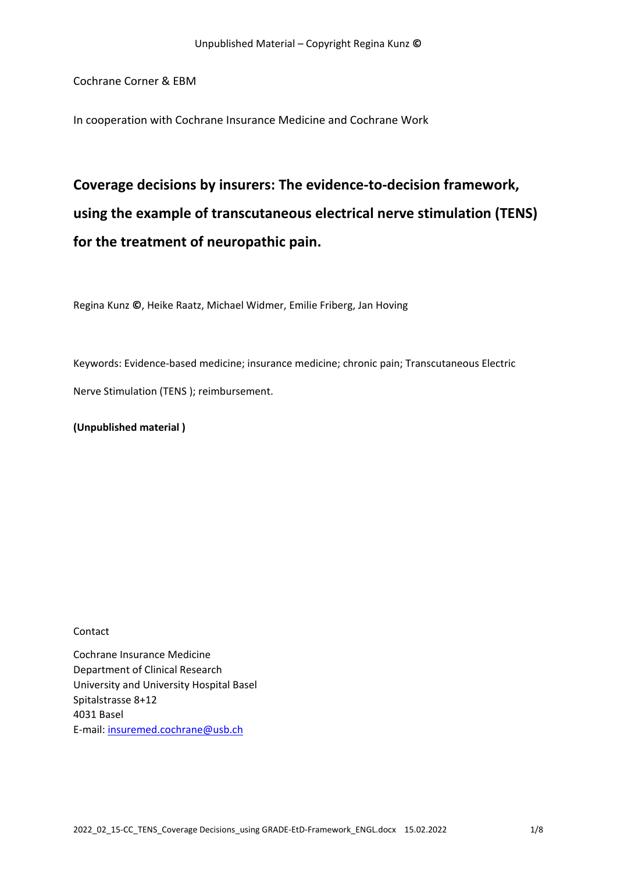Cochrane Corner & EBM

In cooperation with Cochrane Insurance Medicine and Cochrane Work

# **Coverage decisions by insurers: The evidence‐to‐decision framework, using the example of transcutaneous electrical nerve stimulation (TENS) for the treatment of neuropathic pain.**

Regina Kunz **©**, Heike Raatz, Michael Widmer, Emilie Friberg, Jan Hoving

Keywords: Evidence‐based medicine; insurance medicine; chronic pain; Transcutaneous Electric

Nerve Stimulation (TENS ); reimbursement.

**(Unpublished material )** 

Contact

Cochrane Insurance Medicine Department of Clinical Research University and University Hospital Basel Spitalstrasse 8+12 4031 Basel E‐mail: insuremed.cochrane@usb.ch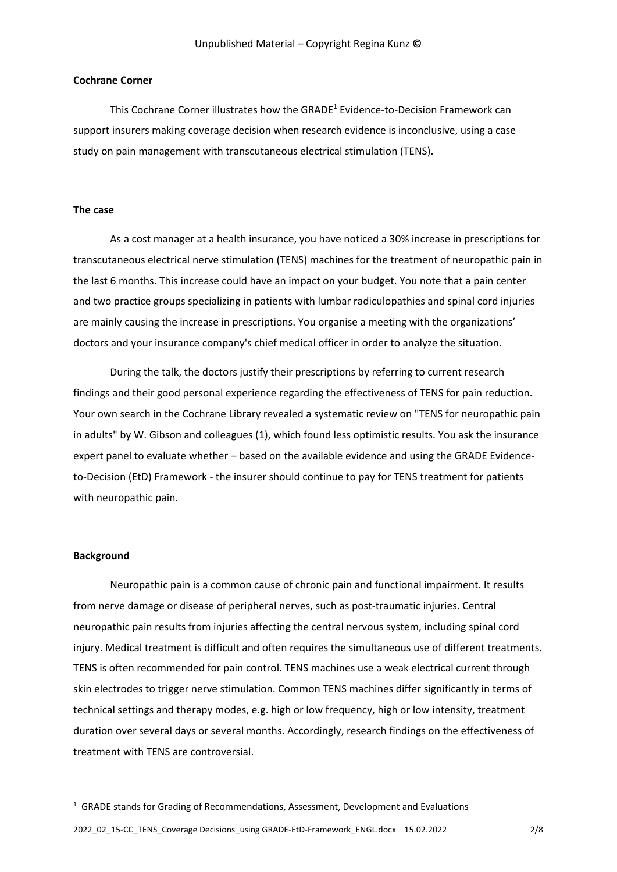### **Cochrane Corner**

This Cochrane Corner illustrates how the GRADE<sup>1</sup> Evidence-to-Decision Framework can support insurers making coverage decision when research evidence is inconclusive, using a case study on pain management with transcutaneous electrical stimulation (TENS).

### **The case**

As a cost manager at a health insurance, you have noticed a 30% increase in prescriptions for transcutaneous electrical nerve stimulation (TENS) machines for the treatment of neuropathic pain in the last 6 months. This increase could have an impact on your budget. You note that a pain center and two practice groups specializing in patients with lumbar radiculopathies and spinal cord injuries are mainly causing the increase in prescriptions. You organise a meeting with the organizations' doctors and your insurance company's chief medical officer in order to analyze the situation.

During the talk, the doctors justify their prescriptions by referring to current research findings and their good personal experience regarding the effectiveness of TENS for pain reduction. Your own search in the Cochrane Library revealed a systematic review on "TENS for neuropathic pain in adults" by W. Gibson and colleagues (1), which found less optimistic results. You ask the insurance expert panel to evaluate whether – based on the available evidence and using the GRADE Evidence‐ to-Decision (EtD) Framework - the insurer should continue to pay for TENS treatment for patients with neuropathic pain.

### **Background**

Neuropathic pain is a common cause of chronic pain and functional impairment. It results from nerve damage or disease of peripheral nerves, such as post-traumatic injuries. Central neuropathic pain results from injuries affecting the central nervous system, including spinal cord injury. Medical treatment is difficult and often requires the simultaneous use of different treatments. TENS is often recommended for pain control. TENS machines use a weak electrical current through skin electrodes to trigger nerve stimulation. Common TENS machines differ significantly in terms of technical settings and therapy modes, e.g. high or low frequency, high or low intensity, treatment duration over several days or several months. Accordingly, research findings on the effectiveness of treatment with TENS are controversial.

<sup>1</sup> GRADE stands for Grading of Recommendations, Assessment, Development and Evaluations

2022\_02\_15‐CC\_TENS\_Coverage Decisions\_using GRADE‐EtD‐Framework\_ENGL.docx 15.02.2022 2/8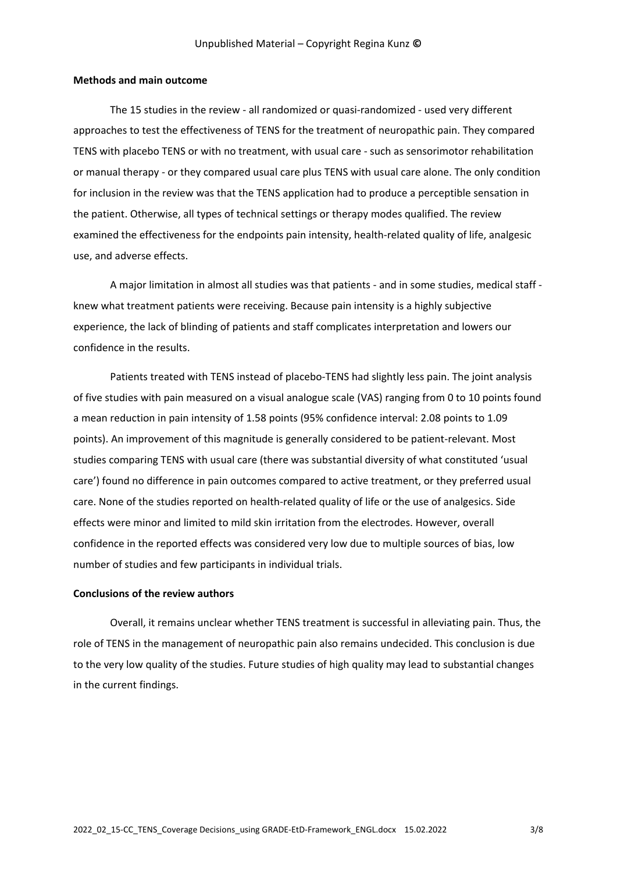### **Methods and main outcome**

The 15 studies in the review - all randomized or quasi-randomized - used very different approaches to test the effectiveness of TENS for the treatment of neuropathic pain. They compared TENS with placebo TENS or with no treatment, with usual care ‐ such as sensorimotor rehabilitation or manual therapy ‐ or they compared usual care plus TENS with usual care alone. The only condition for inclusion in the review was that the TENS application had to produce a perceptible sensation in the patient. Otherwise, all types of technical settings or therapy modes qualified. The review examined the effectiveness for the endpoints pain intensity, health-related quality of life, analgesic use, and adverse effects.

A major limitation in almost all studies was that patients - and in some studies, medical staff knew what treatment patients were receiving. Because pain intensity is a highly subjective experience, the lack of blinding of patients and staff complicates interpretation and lowers our confidence in the results.

Patients treated with TENS instead of placebo-TENS had slightly less pain. The joint analysis of five studies with pain measured on a visual analogue scale (VAS) ranging from 0 to 10 points found a mean reduction in pain intensity of 1.58 points (95% confidence interval: 2.08 points to 1.09 points). An improvement of this magnitude is generally considered to be patient-relevant. Most studies comparing TENS with usual care (there was substantial diversity of what constituted 'usual care') found no difference in pain outcomes compared to active treatment, or they preferred usual care. None of the studies reported on health-related quality of life or the use of analgesics. Side effects were minor and limited to mild skin irritation from the electrodes. However, overall confidence in the reported effects was considered very low due to multiple sources of bias, low number of studies and few participants in individual trials.

#### **Conclusions of the review authors**

Overall, it remains unclear whether TENS treatment is successful in alleviating pain. Thus, the role of TENS in the management of neuropathic pain also remains undecided. This conclusion is due to the very low quality of the studies. Future studies of high quality may lead to substantial changes in the current findings.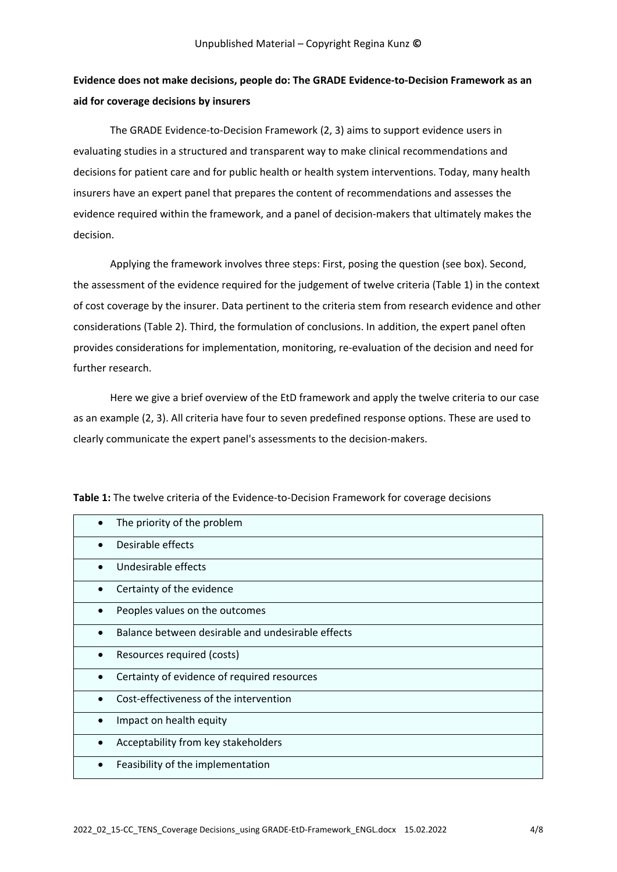# **Evidence does not make decisions, people do: The GRADE Evidence‐to‐Decision Framework as an aid for coverage decisions by insurers**

The GRADE Evidence‐to‐Decision Framework (2, 3) aims to support evidence users in evaluating studies in a structured and transparent way to make clinical recommendations and decisions for patient care and for public health or health system interventions. Today, many health insurers have an expert panel that prepares the content of recommendations and assesses the evidence required within the framework, and a panel of decision-makers that ultimately makes the decision.

Applying the framework involves three steps: First, posing the question (see box). Second, the assessment of the evidence required for the judgement of twelve criteria (Table 1) in the context of cost coverage by the insurer. Data pertinent to the criteria stem from research evidence and other considerations (Table 2). Third, the formulation of conclusions. In addition, the expert panel often provides considerations for implementation, monitoring, re‐evaluation of the decision and need for further research.

Here we give a brief overview of the EtD framework and apply the twelve criteria to our case as an example (2, 3). All criteria have four to seven predefined response options. These are used to clearly communicate the expert panel's assessments to the decision‐makers.

|           | The priority of the problem                       |
|-----------|---------------------------------------------------|
|           | Desirable effects                                 |
|           | Undesirable effects                               |
|           | Certainty of the evidence                         |
|           | Peoples values on the outcomes                    |
|           | Balance between desirable and undesirable effects |
|           | Resources required (costs)                        |
| $\bullet$ | Certainty of evidence of required resources       |
|           | Cost-effectiveness of the intervention            |
|           | Impact on health equity                           |
|           | Acceptability from key stakeholders               |
|           | Feasibility of the implementation                 |
|           |                                                   |

Table 1: The twelve criteria of the Evidence-to-Decision Framework for coverage decisions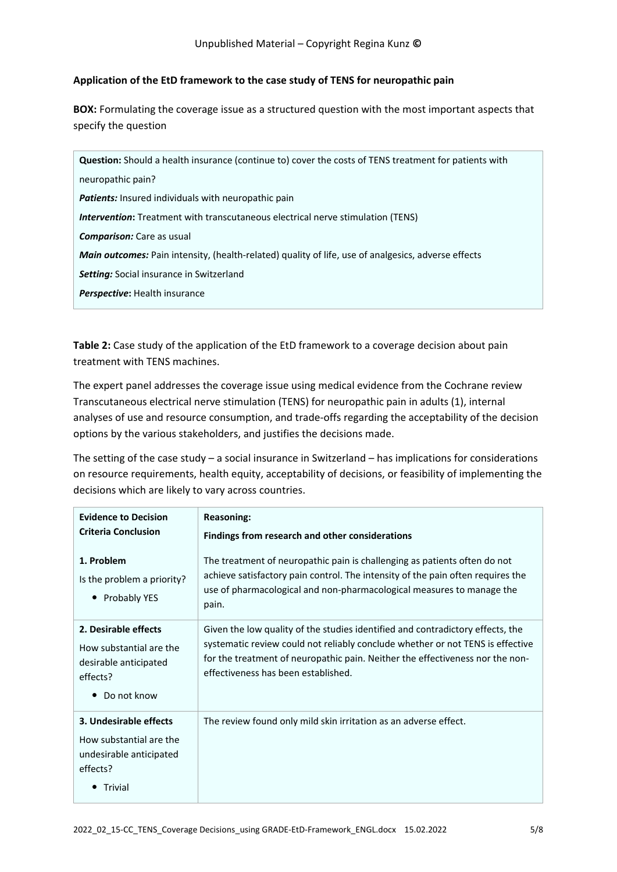# **Application of the EtD framework to the case study of TENS for neuropathic pain**

**BOX:** Formulating the coverage issue as a structured question with the most important aspects that specify the question

| <b>Question:</b> Should a health insurance (continue to) cover the costs of TENS treatment for patients with |  |  |
|--------------------------------------------------------------------------------------------------------------|--|--|
| neuropathic pain?                                                                                            |  |  |
| <b>Patients:</b> Insured individuals with neuropathic pain                                                   |  |  |
| <b>Intervention:</b> Treatment with transcutaneous electrical nerve stimulation (TENS)                       |  |  |
| <b>Comparison:</b> Care as usual                                                                             |  |  |
| <b>Main outcomes:</b> Pain intensity, (health-related) quality of life, use of analgesics, adverse effects   |  |  |
| <b>Setting:</b> Social insurance in Switzerland                                                              |  |  |
| <b>Perspective:</b> Health insurance                                                                         |  |  |

**Table 2:** Case study of the application of the EtD framework to a coverage decision about pain treatment with TENS machines.

The expert panel addresses the coverage issue using medical evidence from the Cochrane review Transcutaneous electrical nerve stimulation (TENS) for neuropathic pain in adults (1), internal analyses of use and resource consumption, and trade‐offs regarding the acceptability of the decision options by the various stakeholders, and justifies the decisions made.

The setting of the case study – a social insurance in Switzerland – has implications for considerations on resource requirements, health equity, acceptability of decisions, or feasibility of implementing the decisions which are likely to vary across countries.

| <b>Evidence to Decision</b><br><b>Criteria Conclusion</b>                                                        | <b>Reasoning:</b><br>Findings from research and other considerations                                                                                                                                                                                                                     |
|------------------------------------------------------------------------------------------------------------------|------------------------------------------------------------------------------------------------------------------------------------------------------------------------------------------------------------------------------------------------------------------------------------------|
| 1. Problem<br>Is the problem a priority?<br><b>Probably YES</b>                                                  | The treatment of neuropathic pain is challenging as patients often do not<br>achieve satisfactory pain control. The intensity of the pain often requires the<br>use of pharmacological and non-pharmacological measures to manage the<br>pain.                                           |
| 2. Desirable effects<br>How substantial are the<br>desirable anticipated<br>effects?<br>Do not know<br>$\bullet$ | Given the low quality of the studies identified and contradictory effects, the<br>systematic review could not reliably conclude whether or not TENS is effective<br>for the treatment of neuropathic pain. Neither the effectiveness nor the non-<br>effectiveness has been established. |
| 3. Undesirable effects<br>How substantial are the<br>undesirable anticipated<br>effects?<br>Trivial              | The review found only mild skin irritation as an adverse effect.                                                                                                                                                                                                                         |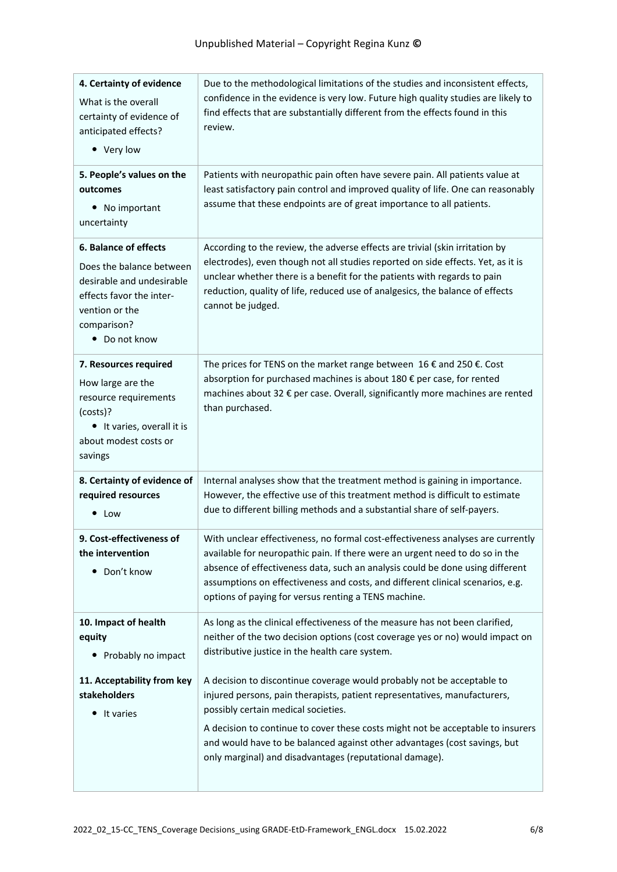| 4. Certainty of evidence<br>What is the overall<br>certainty of evidence of<br>anticipated effects?<br>• Very low                                            | Due to the methodological limitations of the studies and inconsistent effects,<br>confidence in the evidence is very low. Future high quality studies are likely to<br>find effects that are substantially different from the effects found in this<br>review.                                                                                                                                                        |
|--------------------------------------------------------------------------------------------------------------------------------------------------------------|-----------------------------------------------------------------------------------------------------------------------------------------------------------------------------------------------------------------------------------------------------------------------------------------------------------------------------------------------------------------------------------------------------------------------|
| 5. People's values on the<br>outcomes<br>• No important<br>uncertainty                                                                                       | Patients with neuropathic pain often have severe pain. All patients value at<br>least satisfactory pain control and improved quality of life. One can reasonably<br>assume that these endpoints are of great importance to all patients.                                                                                                                                                                              |
| 6. Balance of effects<br>Does the balance between<br>desirable and undesirable<br>effects favor the inter-<br>vention or the<br>comparison?<br>• Do not know | According to the review, the adverse effects are trivial (skin irritation by<br>electrodes), even though not all studies reported on side effects. Yet, as it is<br>unclear whether there is a benefit for the patients with regards to pain<br>reduction, quality of life, reduced use of analgesics, the balance of effects<br>cannot be judged.                                                                    |
| 7. Resources required<br>How large are the<br>resource requirements<br>(costs)?<br>• It varies, overall it is<br>about modest costs or<br>savings            | The prices for TENS on the market range between $16 \notin$ and 250 $\epsilon$ . Cost<br>absorption for purchased machines is about 180 € per case, for rented<br>machines about 32 € per case. Overall, significantly more machines are rented<br>than purchased.                                                                                                                                                    |
| 8. Certainty of evidence of<br>required resources<br>• Low                                                                                                   | Internal analyses show that the treatment method is gaining in importance.<br>However, the effective use of this treatment method is difficult to estimate<br>due to different billing methods and a substantial share of self-payers.                                                                                                                                                                                |
| 9. Cost-effectiveness of<br>the intervention<br>Don't know<br>٠                                                                                              | With unclear effectiveness, no formal cost-effectiveness analyses are currently<br>available for neuropathic pain. If there were an urgent need to do so in the<br>absence of effectiveness data, such an analysis could be done using different<br>assumptions on effectiveness and costs, and different clinical scenarios, e.g.<br>options of paying for versus renting a TENS machine.                            |
| 10. Impact of health<br>equity<br>• Probably no impact                                                                                                       | As long as the clinical effectiveness of the measure has not been clarified,<br>neither of the two decision options (cost coverage yes or no) would impact on<br>distributive justice in the health care system.                                                                                                                                                                                                      |
| 11. Acceptability from key<br>stakeholders<br>It varies<br>٠                                                                                                 | A decision to discontinue coverage would probably not be acceptable to<br>injured persons, pain therapists, patient representatives, manufacturers,<br>possibly certain medical societies.<br>A decision to continue to cover these costs might not be acceptable to insurers<br>and would have to be balanced against other advantages (cost savings, but<br>only marginal) and disadvantages (reputational damage). |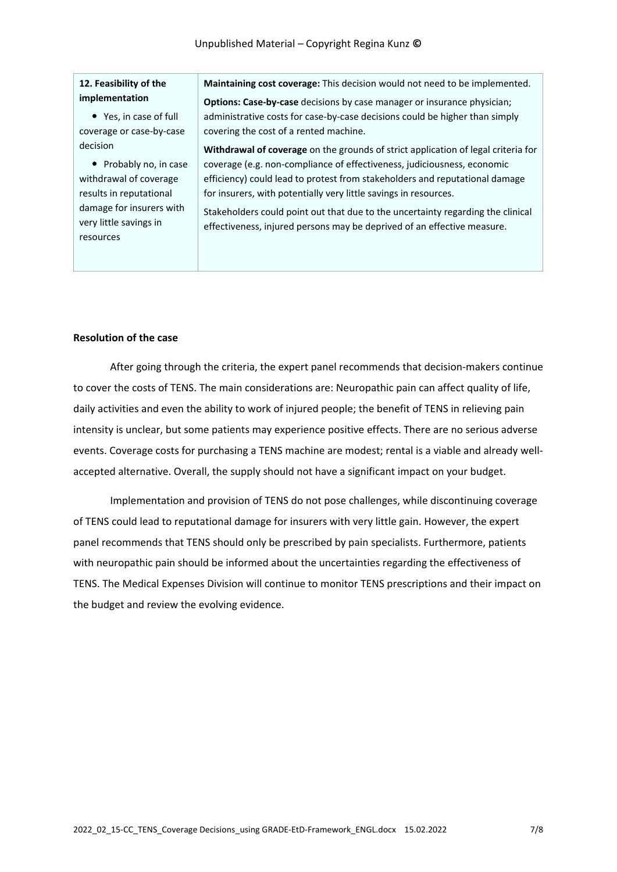### **12. Feasibility of the implementation**

 Yes, in case of full coverage or case‐by‐case decision

• Probably no, in case withdrawal of coverage results in reputational damage for insurers with very little savings in resources

**Maintaining cost coverage:** This decision would not need to be implemented.

**Options: Case-by-case** decisions by case manager or insurance physician; administrative costs for case‐by‐case decisions could be higher than simply covering the cost of a rented machine.

**Withdrawal of coverage** on the grounds of strict application of legal criteria for coverage (e.g. non‐compliance of effectiveness, judiciousness, economic efficiency) could lead to protest from stakeholders and reputational damage for insurers, with potentially very little savings in resources.

Stakeholders could point out that due to the uncertainty regarding the clinical effectiveness, injured persons may be deprived of an effective measure.

### **Resolution of the case**

After going through the criteria, the expert panel recommends that decision-makers continue to cover the costs of TENS. The main considerations are: Neuropathic pain can affect quality of life, daily activities and even the ability to work of injured people; the benefit of TENS in relieving pain intensity is unclear, but some patients may experience positive effects. There are no serious adverse events. Coverage costs for purchasing a TENS machine are modest; rental is a viable and already wellaccepted alternative. Overall, the supply should not have a significant impact on your budget.

Implementation and provision of TENS do not pose challenges, while discontinuing coverage of TENS could lead to reputational damage for insurers with very little gain. However, the expert panel recommends that TENS should only be prescribed by pain specialists. Furthermore, patients with neuropathic pain should be informed about the uncertainties regarding the effectiveness of TENS. The Medical Expenses Division will continue to monitor TENS prescriptions and their impact on the budget and review the evolving evidence.